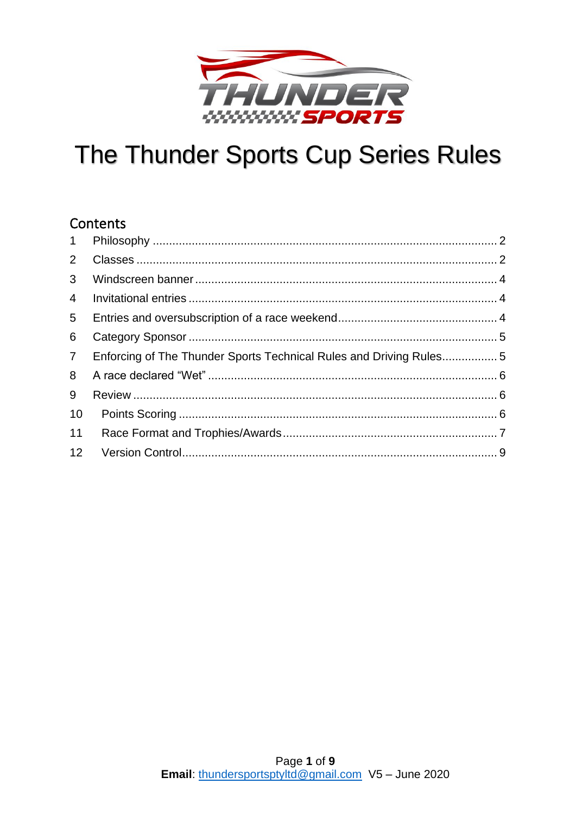

#### Contents

| $\overline{2}$  |                                                                     |  |
|-----------------|---------------------------------------------------------------------|--|
| 3 <sup>1</sup>  |                                                                     |  |
| $\overline{4}$  |                                                                     |  |
| 5 <sup>5</sup>  |                                                                     |  |
| 6               |                                                                     |  |
| $7\overline{ }$ | Enforcing of The Thunder Sports Technical Rules and Driving Rules 5 |  |
| 8               |                                                                     |  |
| 9               |                                                                     |  |
| 10              |                                                                     |  |
| 11              |                                                                     |  |
| 12              |                                                                     |  |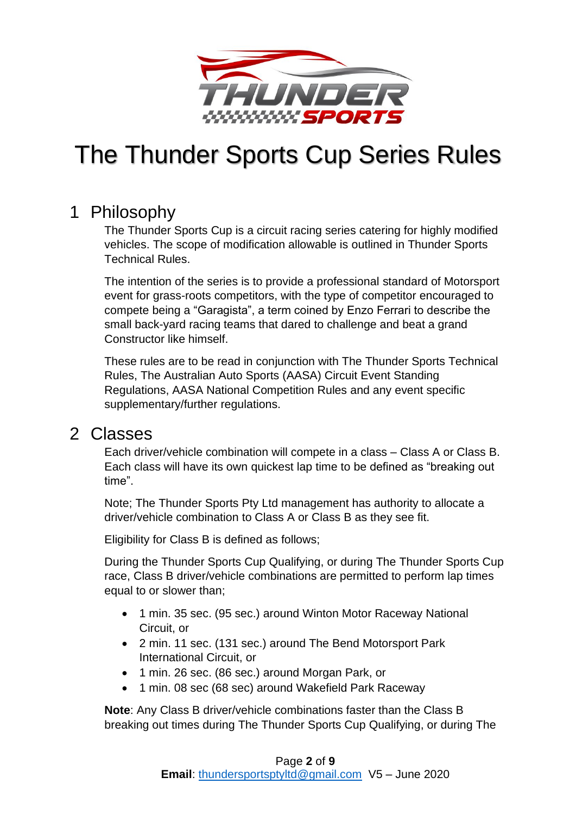

#### <span id="page-1-0"></span>1 Philosophy

The Thunder Sports Cup is a circuit racing series catering for highly modified vehicles. The scope of modification allowable is outlined in Thunder Sports Technical Rules.

The intention of the series is to provide a professional standard of Motorsport event for grass-roots competitors, with the type of competitor encouraged to compete being a "Garagista", a term coined by Enzo Ferrari to describe the small back-yard racing teams that dared to challenge and beat a grand Constructor like himself.

These rules are to be read in conjunction with The Thunder Sports Technical Rules, The Australian Auto Sports (AASA) Circuit Event Standing Regulations, AASA National Competition Rules and any event specific supplementary/further regulations.

#### <span id="page-1-1"></span>2 Classes

Each driver/vehicle combination will compete in a class – Class A or Class B. Each class will have its own quickest lap time to be defined as "breaking out time".

Note; The Thunder Sports Pty Ltd management has authority to allocate a driver/vehicle combination to Class A or Class B as they see fit.

Eligibility for Class B is defined as follows;

During the Thunder Sports Cup Qualifying, or during The Thunder Sports Cup race, Class B driver/vehicle combinations are permitted to perform lap times equal to or slower than;

- 1 min. 35 sec. (95 sec.) around Winton Motor Raceway National Circuit, or
- 2 min. 11 sec. (131 sec.) around The Bend Motorsport Park International Circuit, or
- 1 min. 26 sec. (86 sec.) around Morgan Park, or
- 1 min. 08 sec (68 sec) around Wakefield Park Raceway

**Note**: Any Class B driver/vehicle combinations faster than the Class B breaking out times during The Thunder Sports Cup Qualifying, or during The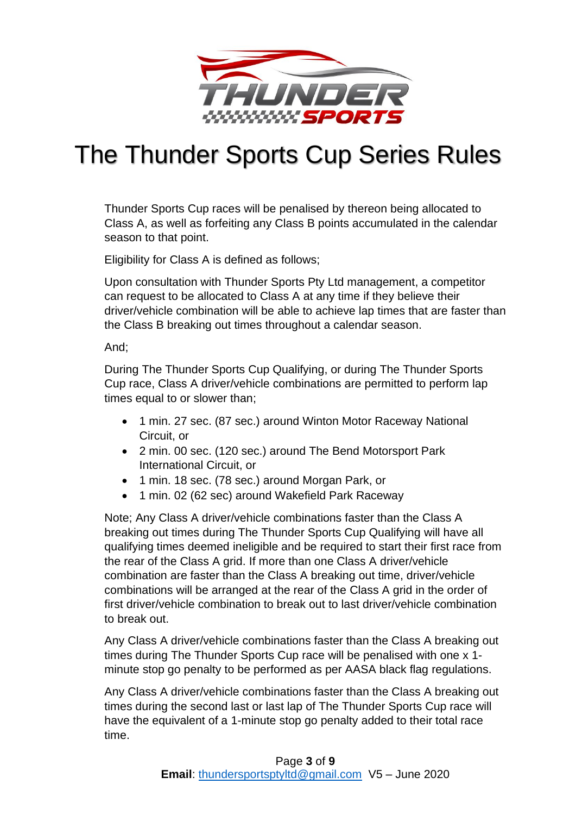

Thunder Sports Cup races will be penalised by thereon being allocated to Class A, as well as forfeiting any Class B points accumulated in the calendar season to that point.

Eligibility for Class A is defined as follows;

Upon consultation with Thunder Sports Pty Ltd management, a competitor can request to be allocated to Class A at any time if they believe their driver/vehicle combination will be able to achieve lap times that are faster than the Class B breaking out times throughout a calendar season.

And;

During The Thunder Sports Cup Qualifying, or during The Thunder Sports Cup race, Class A driver/vehicle combinations are permitted to perform lap times equal to or slower than;

- 1 min. 27 sec. (87 sec.) around Winton Motor Raceway National Circuit, or
- 2 min. 00 sec. (120 sec.) around The Bend Motorsport Park International Circuit, or
- 1 min. 18 sec. (78 sec.) around Morgan Park, or
- 1 min. 02 (62 sec) around Wakefield Park Raceway

Note; Any Class A driver/vehicle combinations faster than the Class A breaking out times during The Thunder Sports Cup Qualifying will have all qualifying times deemed ineligible and be required to start their first race from the rear of the Class A grid. If more than one Class A driver/vehicle combination are faster than the Class A breaking out time, driver/vehicle combinations will be arranged at the rear of the Class A grid in the order of first driver/vehicle combination to break out to last driver/vehicle combination to break out.

Any Class A driver/vehicle combinations faster than the Class A breaking out times during The Thunder Sports Cup race will be penalised with one x 1 minute stop go penalty to be performed as per AASA black flag regulations.

Any Class A driver/vehicle combinations faster than the Class A breaking out times during the second last or last lap of The Thunder Sports Cup race will have the equivalent of a 1-minute stop go penalty added to their total race time.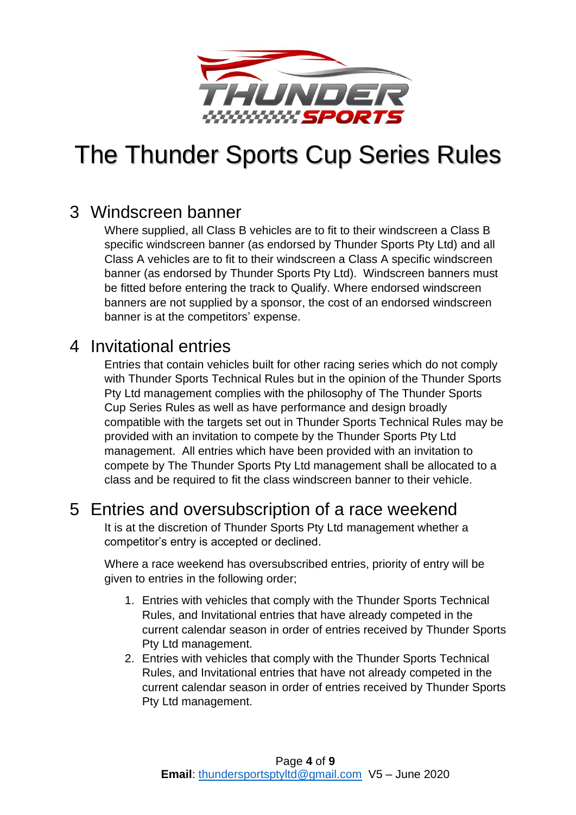

### <span id="page-3-0"></span>3 Windscreen banner

Where supplied, all Class B vehicles are to fit to their windscreen a Class B specific windscreen banner (as endorsed by Thunder Sports Pty Ltd) and all Class A vehicles are to fit to their windscreen a Class A specific windscreen banner (as endorsed by Thunder Sports Pty Ltd). Windscreen banners must be fitted before entering the track to Qualify. Where endorsed windscreen banners are not supplied by a sponsor, the cost of an endorsed windscreen banner is at the competitors' expense.

#### <span id="page-3-1"></span>4 Invitational entries

Entries that contain vehicles built for other racing series which do not comply with Thunder Sports Technical Rules but in the opinion of the Thunder Sports Pty Ltd management complies with the philosophy of The Thunder Sports Cup Series Rules as well as have performance and design broadly compatible with the targets set out in Thunder Sports Technical Rules may be provided with an invitation to compete by the Thunder Sports Pty Ltd management. All entries which have been provided with an invitation to compete by The Thunder Sports Pty Ltd management shall be allocated to a class and be required to fit the class windscreen banner to their vehicle.

#### <span id="page-3-2"></span>5 Entries and oversubscription of a race weekend

It is at the discretion of Thunder Sports Pty Ltd management whether a competitor's entry is accepted or declined.

Where a race weekend has oversubscribed entries, priority of entry will be given to entries in the following order;

- 1. Entries with vehicles that comply with the Thunder Sports Technical Rules, and Invitational entries that have already competed in the current calendar season in order of entries received by Thunder Sports Pty Ltd management.
- 2. Entries with vehicles that comply with the Thunder Sports Technical Rules, and Invitational entries that have not already competed in the current calendar season in order of entries received by Thunder Sports Pty Ltd management.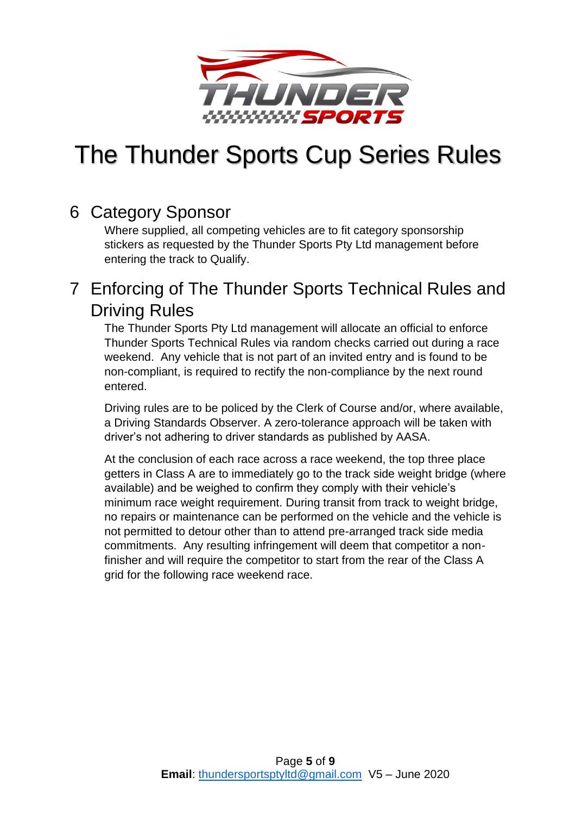

### <span id="page-4-0"></span>6 Category Sponsor

Where supplied, all competing vehicles are to fit category sponsorship stickers as requested by the Thunder Sports Pty Ltd management before entering the track to Qualify.

### <span id="page-4-1"></span>7 Enforcing of The Thunder Sports Technical Rules and Driving Rules

The Thunder Sports Pty Ltd management will allocate an official to enforce Thunder Sports Technical Rules via random checks carried out during a race weekend. Any vehicle that is not part of an invited entry and is found to be non-compliant, is required to rectify the non-compliance by the next round entered.

Driving rules are to be policed by the Clerk of Course and/or, where available, a Driving Standards Observer. A zero-tolerance approach will be taken with driver's not adhering to driver standards as published by AASA.

At the conclusion of each race across a race weekend, the top three place getters in Class A are to immediately go to the track side weight bridge (where available) and be weighed to confirm they comply with their vehicle's minimum race weight requirement. During transit from track to weight bridge, no repairs or maintenance can be performed on the vehicle and the vehicle is not permitted to detour other than to attend pre-arranged track side media commitments. Any resulting infringement will deem that competitor a nonfinisher and will require the competitor to start from the rear of the Class A grid for the following race weekend race.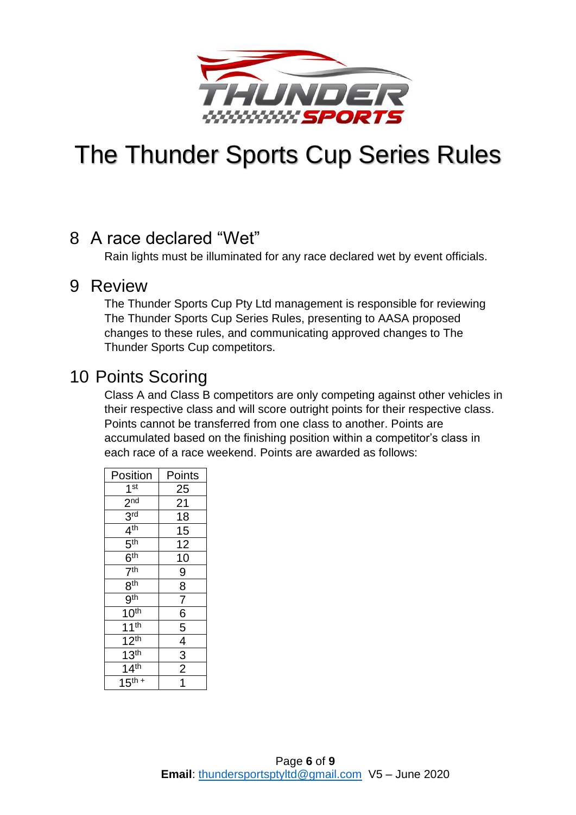

#### <span id="page-5-0"></span>8 A race declared "Wet"

Rain lights must be illuminated for any race declared wet by event officials.

#### <span id="page-5-1"></span>9 Review

The Thunder Sports Cup Pty Ltd management is responsible for reviewing The Thunder Sports Cup Series Rules, presenting to AASA proposed changes to these rules, and communicating approved changes to The Thunder Sports Cup competitors.

#### <span id="page-5-2"></span>10 Points Scoring

Class A and Class B competitors are only competing against other vehicles in their respective class and will score outright points for their respective class. Points cannot be transferred from one class to another. Points are accumulated based on the finishing position within a competitor's class in each race of a race weekend. Points are awarded as follows:

| Position           | Points         |
|--------------------|----------------|
| 1 <sup>st</sup>    | 25             |
| 2 <sub>nd</sub>    | 21             |
| 3 <sup>rd</sup>    | 18             |
| 4 <sup>th</sup>    | 15             |
| 5 <sup>th</sup>    | 12             |
| 6 <sup>th</sup>    | 10             |
| 7 <sup>th</sup>    | 9              |
| $\overline{8}$ th  | $\overline{8}$ |
| gth                |                |
| 10 <sup>th</sup>   | $\frac{7}{6}$  |
| 11 <sup>th</sup>   |                |
| 12 <sup>th</sup>   | $\overline{4}$ |
| 13 <sup>th</sup>   | $\frac{3}{2}$  |
| 14 <sup>th</sup>   |                |
| $15^{\text{th }+}$ |                |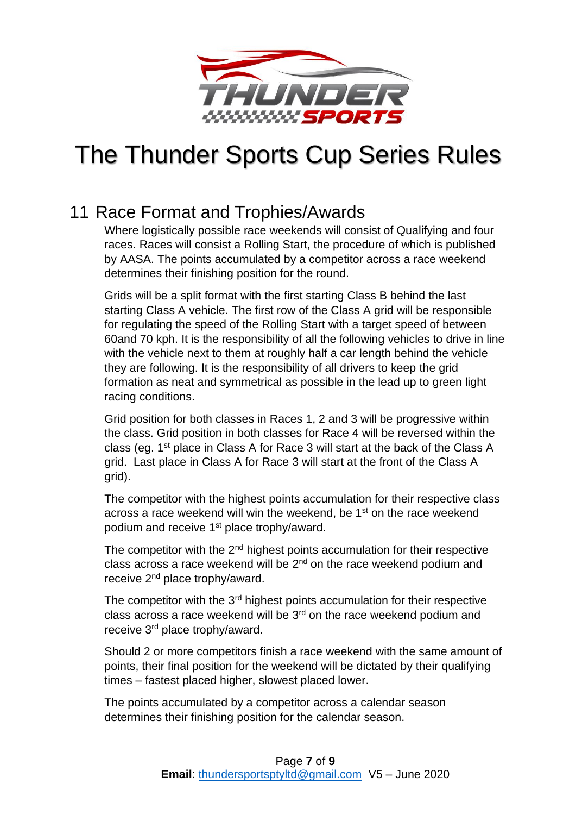

### <span id="page-6-0"></span>11 Race Format and Trophies/Awards

Where logistically possible race weekends will consist of Qualifying and four races. Races will consist a Rolling Start, the procedure of which is published by AASA. The points accumulated by a competitor across a race weekend determines their finishing position for the round.

Grids will be a split format with the first starting Class B behind the last starting Class A vehicle. The first row of the Class A grid will be responsible for regulating the speed of the Rolling Start with a target speed of between 60and 70 kph. It is the responsibility of all the following vehicles to drive in line with the vehicle next to them at roughly half a car length behind the vehicle they are following. It is the responsibility of all drivers to keep the grid formation as neat and symmetrical as possible in the lead up to green light racing conditions.

Grid position for both classes in Races 1, 2 and 3 will be progressive within the class. Grid position in both classes for Race 4 will be reversed within the class (eg. 1<sup>st</sup> place in Class A for Race 3 will start at the back of the Class A grid. Last place in Class A for Race 3 will start at the front of the Class A grid).

The competitor with the highest points accumulation for their respective class across a race weekend will win the weekend, be 1<sup>st</sup> on the race weekend podium and receive 1<sup>st</sup> place trophy/award.

The competitor with the  $2<sup>nd</sup>$  highest points accumulation for their respective class across a race weekend will be  $2^{nd}$  on the race weekend podium and receive 2<sup>nd</sup> place trophy/award.

The competitor with the 3<sup>rd</sup> highest points accumulation for their respective class across a race weekend will be 3rd on the race weekend podium and receive 3rd place trophy/award.

Should 2 or more competitors finish a race weekend with the same amount of points, their final position for the weekend will be dictated by their qualifying times – fastest placed higher, slowest placed lower.

The points accumulated by a competitor across a calendar season determines their finishing position for the calendar season.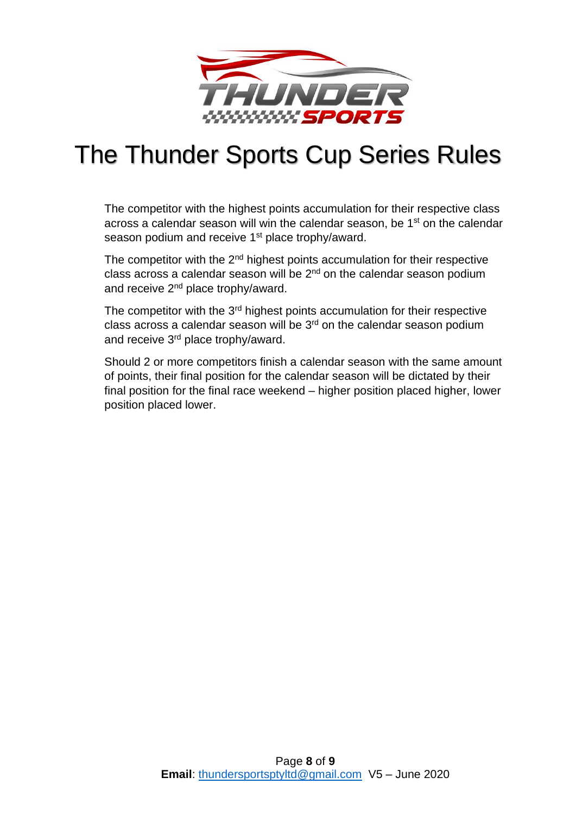

The competitor with the highest points accumulation for their respective class across a calendar season will win the calendar season, be 1<sup>st</sup> on the calendar season podium and receive 1<sup>st</sup> place trophy/award.

The competitor with the  $2<sup>nd</sup>$  highest points accumulation for their respective class across a calendar season will be  $2<sup>nd</sup>$  on the calendar season podium and receive 2<sup>nd</sup> place trophy/award.

The competitor with the 3<sup>rd</sup> highest points accumulation for their respective class across a calendar season will be  $3<sup>rd</sup>$  on the calendar season podium and receive 3<sup>rd</sup> place trophy/award.

Should 2 or more competitors finish a calendar season with the same amount of points, their final position for the calendar season will be dictated by their final position for the final race weekend – higher position placed higher, lower position placed lower.